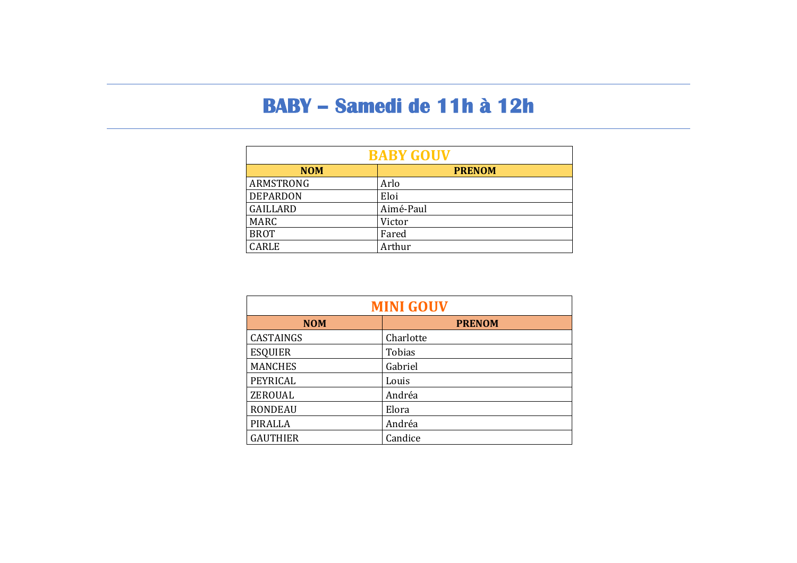### **BABY – Samedi de 11h à 12h**

| <b>BABY GOUV</b> |               |  |
|------------------|---------------|--|
| <b>NOM</b>       | <b>PRENOM</b> |  |
| <b>ARMSTRONG</b> | Arlo          |  |
| <b>DEPARDON</b>  | Eloi          |  |
| <b>GAILLARD</b>  | Aimé-Paul     |  |
| <b>MARC</b>      | Victor        |  |
| <b>BROT</b>      | Fared         |  |
| CARLE            | Arthur        |  |

| <b>MINI GOUV</b> |               |  |
|------------------|---------------|--|
| <b>NOM</b>       | <b>PRENOM</b> |  |
| <b>CASTAINGS</b> | Charlotte     |  |
| <b>ESQUIER</b>   | Tobias        |  |
| <b>MANCHES</b>   | Gabriel       |  |
| PEYRICAL         | Louis         |  |
| ZEROUAL          | Andréa        |  |
| <b>RONDEAU</b>   | Elora         |  |
| <b>PIRALLA</b>   | Andréa        |  |
| <b>GAUTHIER</b>  | Candice       |  |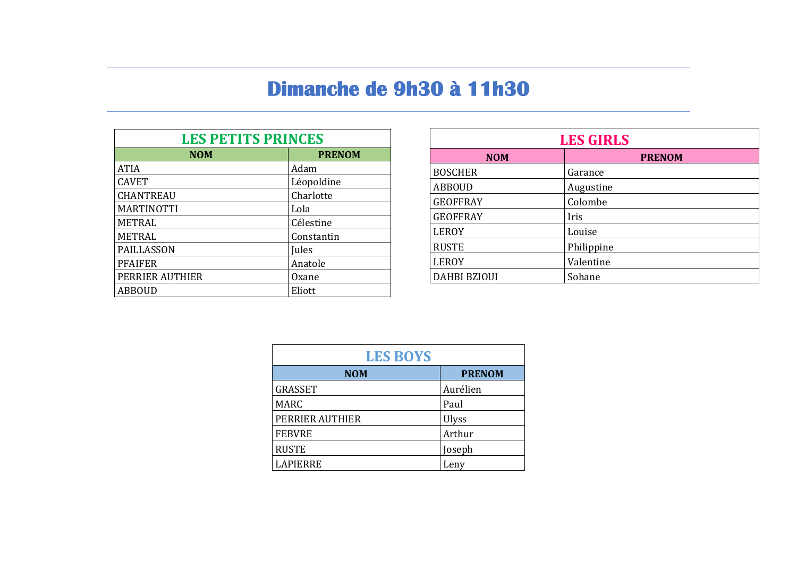# Dimanche de 9h30 à 11h30

| <b>LES PETITS PRINCES</b> |               |  |
|---------------------------|---------------|--|
| <b>NOM</b>                | <b>PRENOM</b> |  |
| <b>ATIA</b>               | Adam          |  |
| <b>CAVET</b>              | Léopoldine    |  |
| <b>CHANTREAU</b>          | Charlotte     |  |
| <b>MARTINOTTI</b>         | Lola          |  |
| <b>METRAL</b>             | Célestine     |  |
| <b>METRAL</b>             | Constantin    |  |
| <b>PAILLASSON</b>         | Jules         |  |
| <b>PFAIFER</b>            | Anatole       |  |
| PERRIER AUTHIER           | Oxane         |  |
| <b>ABBOUD</b>             | Eliott        |  |

| <b>LES GIRLS</b>    |               |  |
|---------------------|---------------|--|
| <b>NOM</b>          | <b>PRENOM</b> |  |
| <b>BOSCHER</b>      | Garance       |  |
| <b>ABBOUD</b>       | Augustine     |  |
| <b>GEOFFRAY</b>     | Colombe       |  |
| <b>GEOFFRAY</b>     | Iris          |  |
| <b>LEROY</b>        | Louise        |  |
| <b>RUSTE</b>        | Philippine    |  |
| <b>LEROY</b>        | Valentine     |  |
| <b>DAHBI BZIOUI</b> | Sohane        |  |

| <b>LES BOYS</b> |               |  |
|-----------------|---------------|--|
| <b>NOM</b>      | <b>PRENOM</b> |  |
| <b>GRASSET</b>  | Aurélien      |  |
| <b>MARC</b>     | Paul          |  |
| PERRIER AUTHIER | <b>Ulyss</b>  |  |
| <b>FEBVRE</b>   | Arthur        |  |
| <b>RUSTE</b>    | Joseph        |  |
| <b>LAPIERRE</b> | Lenv          |  |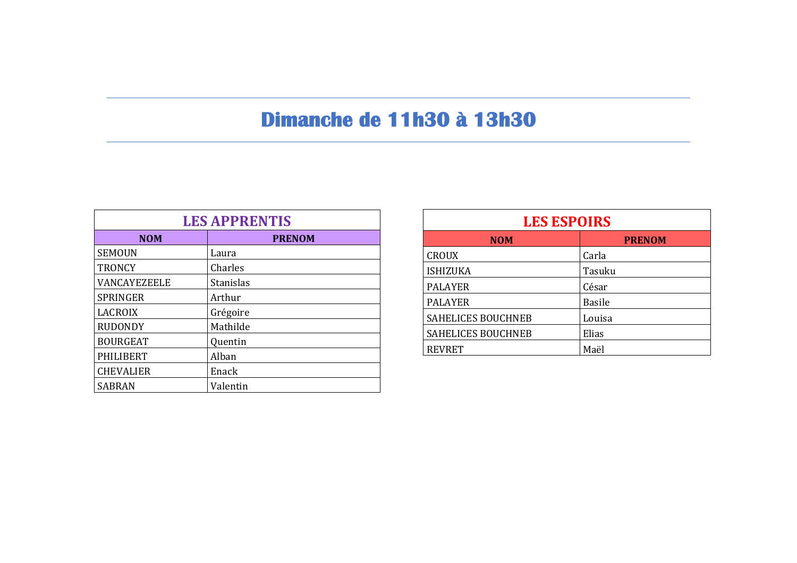## Dimanche de 11h30 à 13h30

| <b>LES APPRENTIS</b> |               |  |
|----------------------|---------------|--|
| <b>NOM</b>           | <b>PRENOM</b> |  |
| <b>SEMOUN</b>        | Laura         |  |
| <b>TRONCY</b>        | Charles       |  |
| VANCAYEZEELE         | Stanislas     |  |
| <b>SPRINGER</b>      | Arthur        |  |
| <b>LACROIX</b>       | Grégoire      |  |
| <b>RUDONDY</b>       | Mathilde      |  |
| <b>BOURGEAT</b>      | Quentin       |  |
| PHILIBERT            | Alban         |  |
| <b>CHEVALIER</b>     | Enack         |  |
| <b>SABRAN</b>        | Valentin      |  |

| <b>LES ESPOIRS</b>        |               |  |
|---------------------------|---------------|--|
| <b>NOM</b>                | <b>PRENOM</b> |  |
| <b>CROUX</b>              | Carla         |  |
| <b>ISHIZUKA</b>           | Tasuku        |  |
| <b>PALAYER</b>            | César         |  |
| <b>PALAYER</b>            | <b>Basile</b> |  |
| SAHELICES BOUCHNEB        | Louisa        |  |
| <b>SAHELICES BOUCHNEB</b> | Elias         |  |
| <b>REVRET</b>             | Maël          |  |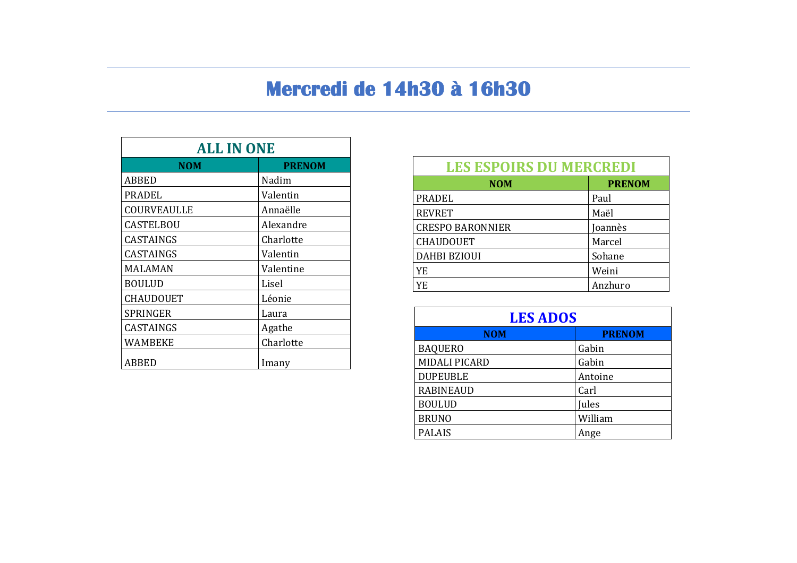# Mercredi de 14h30 à 16h30

| <b>ALL IN ONE</b> |               |
|-------------------|---------------|
| <b>NOM</b>        | <b>PRENOM</b> |
| ABBED             | Nadim         |
| PRADEL            | Valentin      |
| COURVEAULLE       | Annaëlle      |
| <b>CASTELBOU</b>  | Alexandre     |
| <b>CASTAINGS</b>  | Charlotte     |
| CASTAINGS         | Valentin      |
| <b>MALAMAN</b>    | Valentine     |
| <b>BOULUD</b>     | Lisel         |
| <b>CHAUDOUET</b>  | Léonie        |
| <b>SPRINGER</b>   | Laura         |
| CASTAINGS         | Agathe        |
| WAMBEKE           | Charlotte     |
| ABBED             | Imany         |

| <b>LES ESPOIRS DU MERCREDI</b> |               |  |
|--------------------------------|---------------|--|
| <b>NOM</b>                     | <b>PRENOM</b> |  |
| <b>PRADEL</b>                  | Paul          |  |
| <b>REVRET</b>                  | Maël          |  |
| <b>CRESPO BARONNIER</b>        | Joannès       |  |
| <b>CHAUDOUET</b>               | Marcel        |  |
| <b>DAHBI BZIOUI</b>            | Sohane        |  |
| YE                             | Weini         |  |
| <b>YE</b>                      | Anzhuro       |  |

| <b>LES ADOS</b>      |               |  |
|----------------------|---------------|--|
| <b>NOM</b>           | <b>PRENOM</b> |  |
| <b>BAQUERO</b>       | Gabin         |  |
| <b>MIDALI PICARD</b> | Gabin         |  |
| <b>DUPEUBLE</b>      | Antoine       |  |
| <b>RABINEAUD</b>     | Carl          |  |
| <b>BOULUD</b>        | Jules         |  |
| <b>BRUNO</b>         | William       |  |
| <b>PALAIS</b>        | Ange          |  |